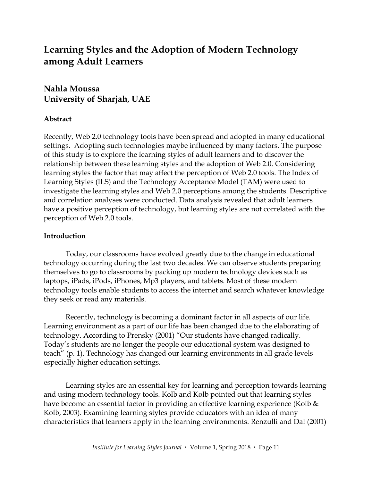# **Learning Styles and the Adoption of Modern Technology among Adult Learners**

# **Nahla Moussa University of Sharjah, UAE**

# **Abstract**

Recently, Web 2.0 technology tools have been spread and adopted in many educational settings. Adopting such technologies maybe influenced by many factors. The purpose of this study is to explore the learning styles of adult learners and to discover the relationship between these learning styles and the adoption of Web 2.0. Considering learning styles the factor that may affect the perception of Web 2.0 tools. The Index of Learning Styles (ILS) and the Technology Acceptance Model (TAM) were used to investigate the learning styles and Web 2.0 perceptions among the students. Descriptive and correlation analyses were conducted. Data analysis revealed that adult learners have a positive perception of technology, but learning styles are not correlated with the perception of Web 2.0 tools.

#### **Introduction**

Today, our classrooms have evolved greatly due to the change in educational technology occurring during the last two decades. We can observe students preparing themselves to go to classrooms by packing up modern technology devices such as laptops, iPads, iPods, iPhones, Mp3 players, and tablets. Most of these modern technology tools enable students to access the internet and search whatever knowledge they seek or read any materials.

Recently, technology is becoming a dominant factor in all aspects of our life. Learning environment as a part of our life has been changed due to the elaborating of technology. According to Prensky (2001) "Our students have changed radically. Today's students are no longer the people our educational system was designed to teach" (p. 1). Technology has changed our learning environments in all grade levels especially higher education settings.

Learning styles are an essential key for learning and perception towards learning and using modern technology tools. Kolb and Kolb pointed out that learning styles have become an essential factor in providing an effective learning experience (Kolb & Kolb, 2003). Examining learning styles provide educators with an idea of many characteristics that learners apply in the learning environments. Renzulli and Dai (2001)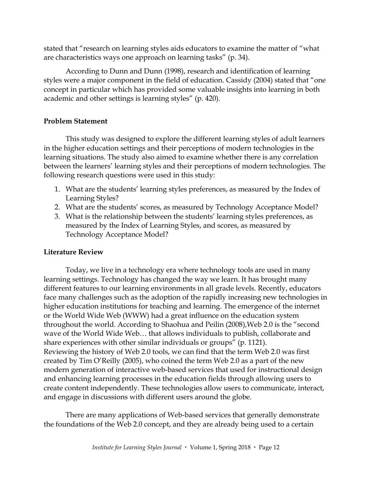stated that "research on learning styles aids educators to examine the matter of "what are characteristics ways one approach on learning tasks" (p. 34).

According to Dunn and Dunn (1998), research and identification of learning styles were a major component in the field of education. Cassidy (2004) stated that "one concept in particular which has provided some valuable insights into learning in both academic and other settings is learning styles" (p. 420).

## **Problem Statement**

This study was designed to explore the different learning styles of adult learners in the higher education settings and their perceptions of modern technologies in the learning situations. The study also aimed to examine whether there is any correlation between the learners' learning styles and their perceptions of modern technologies. The following research questions were used in this study:

- 1. What are the students' learning styles preferences, as measured by the Index of Learning Styles?
- 2. What are the students' scores, as measured by Technology Acceptance Model?
- 3. What is the relationship between the students' learning styles preferences, as measured by the Index of Learning Styles, and scores, as measured by Technology Acceptance Model?

# **Literature Review**

Today, we live in a technology era where technology tools are used in many learning settings. Technology has changed the way we learn. It has brought many different features to our learning environments in all grade levels. Recently, educators face many challenges such as the adoption of the rapidly increasing new technologies in higher education institutions for teaching and learning. The emergence of the internet or the World Wide Web (WWW) had a great influence on the education system throughout the world. According to Shaohua and Peilin (2008),Web 2.0 is the "second wave of the World Wide Web… that allows individuals to publish, collaborate and share experiences with other similar individuals or groups" (p. 1121). Reviewing the history of Web 2.0 tools, we can find that the term Web 2.0 was first created by Tim O'Reilly (2005), who coined the term Web 2.0 as a part of the new modern generation of interactive web-based services that used for instructional design and enhancing learning processes in the education fields through allowing users to create content independently. These technologies allow users to communicate, interact, and engage in discussions with different users around the globe.

There are many applications of Web-based services that generally demonstrate the foundations of the Web 2.0 concept, and they are already being used to a certain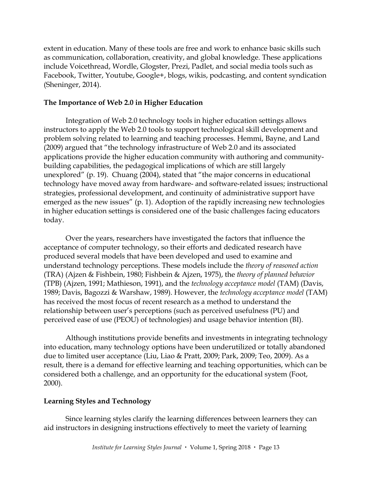extent in education. Many of these tools are free and work to enhance basic skills such as communication, collaboration, creativity, and global knowledge. These applications include Voicethread, Wordle, Glogster, Prezi, Padlet, and social media tools such as Facebook, Twitter, Youtube, Google+, blogs, wikis, podcasting, and content syndication (Sheninger, 2014).

## **The Importance of Web 2.0 in Higher Education**

Integration of Web 2.0 technology tools in higher education settings allows instructors to apply the Web 2.0 tools to support technological skill development and problem solving related to learning and teaching processes. Hemmi, Bayne, and Land (2009) argued that "the technology infrastructure of Web 2.0 and its associated applications provide the higher education community with authoring and communitybuilding capabilities, the pedagogical implications of which are still largely unexplored" (p. 19). Chuang (2004), stated that "the major concerns in educational technology have moved away from hardware- and software-related issues; instructional strategies, professional development, and continuity of administrative support have emerged as the new issues" (p. 1). Adoption of the rapidly increasing new technologies in higher education settings is considered one of the basic challenges facing educators today.

Over the years, researchers have investigated the factors that influence the acceptance of computer technology, so their efforts and dedicated research have produced several models that have been developed and used to examine and understand technology perceptions. These models include the *theory of reasoned action* (TRA) (Ajzen & Fishbein, 1980; Fishbein & Ajzen, 1975), the *theory of planned behavior*  (TPB) (Ajzen, 1991; Mathieson, 1991), and the *technology acceptance model* (TAM) (Davis, 1989; Davis, Bagozzi & Warshaw, 1989). However, the *technology acceptance model* (TAM) has received the most focus of recent research as a method to understand the relationship between user's perceptions (such as perceived usefulness (PU) and perceived ease of use (PEOU) of technologies) and usage behavior intention (BI).

Although institutions provide benefits and investments in integrating technology into education, many technology options have been underutilized or totally abandoned due to limited user acceptance (Liu, Liao & Pratt, 2009; Park, 2009; Teo, 2009). As a result, there is a demand for effective learning and teaching opportunities, which can be considered both a challenge, and an opportunity for the educational system (Foot, 2000).

# **Learning Styles and Technology**

Since learning styles clarify the learning differences between learners they can aid instructors in designing instructions effectively to meet the variety of learning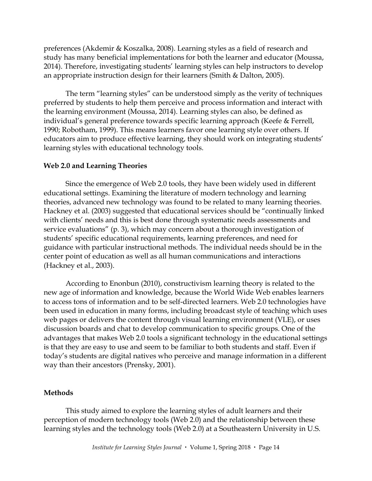preferences (Akdemir & Koszalka, 2008). Learning styles as a field of research and study has many beneficial implementations for both the learner and educator (Moussa, 2014). Therefore, investigating students' learning styles can help instructors to develop an appropriate instruction design for their learners (Smith & Dalton, 2005).

The term "learning styles" can be understood simply as the verity of techniques preferred by students to help them perceive and process information and interact with the learning environment (Moussa, 2014). Learning styles can also, be defined as individual's general preference towards specific learning approach (Keefe & Ferrell, 1990; Robotham, 1999). This means learners favor one learning style over others. If educators aim to produce effective learning, they should work on integrating students' learning styles with educational technology tools.

#### **Web 2.0 and Learning Theories**

Since the emergence of Web 2.0 tools, they have been widely used in different educational settings. Examining the literature of modern technology and learning theories, advanced new technology was found to be related to many learning theories. Hackney et al. (2003) suggested that educational services should be "continually linked with clients' needs and this is best done through systematic needs assessments and service evaluations" (p. 3), which may concern about a thorough investigation of students' specific educational requirements, learning preferences, and need for guidance with particular instructional methods. The individual needs should be in the center point of education as well as all human communications and interactions (Hackney et al., 2003).

According to Enonbun (2010), constructivism learning theory is related to the new age of information and knowledge, because the World Wide Web enables learners to access tons of information and to be self-directed learners. Web 2.0 technologies have been used in education in many forms, including broadcast style of teaching which uses web pages or delivers the content through visual learning environment (VLE), or uses discussion boards and chat to develop communication to specific groups. One of the advantages that makes Web 2.0 tools a significant technology in the educational settings is that they are easy to use and seem to be familiar to both students and staff. Even if today's students are digital natives who perceive and manage information in a different way than their ancestors (Prensky, 2001).

#### **Methods**

This study aimed to explore the learning styles of adult learners and their perception of modern technology tools (Web 2.0) and the relationship between these learning styles and the technology tools (Web 2.0) at a Southeastern University in U.S.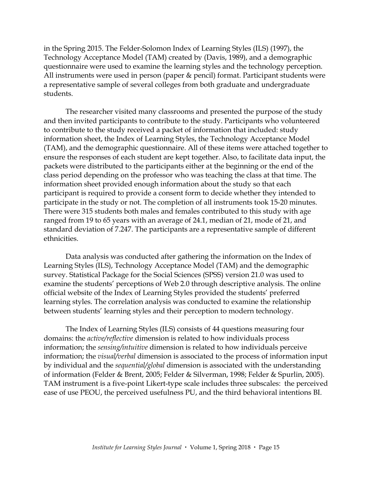in the Spring 2015. The Felder-Solomon Index of Learning Styles (ILS) (1997), the Technology Acceptance Model (TAM) created by (Davis, 1989), and a demographic questionnaire were used to examine the learning styles and the technology perception. All instruments were used in person (paper & pencil) format. Participant students were a representative sample of several colleges from both graduate and undergraduate students.

The researcher visited many classrooms and presented the purpose of the study and then invited participants to contribute to the study. Participants who volunteered to contribute to the study received a packet of information that included: study information sheet, the Index of Learning Styles, the Technology Acceptance Model (TAM), and the demographic questionnaire. All of these items were attached together to ensure the responses of each student are kept together. Also, to facilitate data input, the packets were distributed to the participants either at the beginning or the end of the class period depending on the professor who was teaching the class at that time. The information sheet provided enough information about the study so that each participant is required to provide a consent form to decide whether they intended to participate in the study or not. The completion of all instruments took 15-20 minutes. There were 315 students both males and females contributed to this study with age ranged from 19 to 65 years with an average of 24.1, median of 21, mode of 21, and standard deviation of 7.247. The participants are a representative sample of different ethnicities.

Data analysis was conducted after gathering the information on the Index of Learning Styles (ILS), Technology Acceptance Model (TAM) and the demographic survey. Statistical Package for the Social Sciences (SPSS) version 21.0 was used to examine the students' perceptions of Web 2.0 through descriptive analysis. The online official website of the Index of Learning Styles provided the students' preferred learning styles. The correlation analysis was conducted to examine the relationship between students' learning styles and their perception to modern technology.

The Index of Learning Styles (ILS) consists of 44 questions measuring four domains: the *active/reflective* dimension is related to how individuals process information; the *sensing/intuitive* dimension is related to how individuals perceive information; the *visual/verbal* dimension is associated to the process of information input by individual and the *sequential/global* dimension is associated with the understanding of information (Felder & Brent, 2005; Felder & Silverman, 1998; Felder & Spurlin, 2005). TAM instrument is a five-point Likert-type scale includes three subscales: the perceived ease of use PEOU, the perceived usefulness PU, and the third behavioral intentions BI.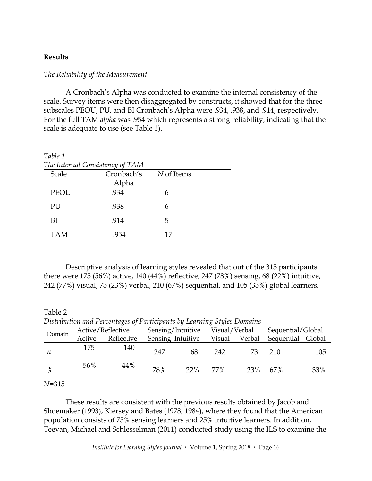#### **Results**

#### *The Reliability of the Measurement*

A Cronbach's Alpha was conducted to examine the internal consistency of the scale. Survey items were then disaggregated by constructs, it showed that for the three subscales PEOU, PU, and BI Cronbach's Alpha were .934, .938, and .914, respectively. For the full TAM *alpha* was .954 which represents a strong reliability, indicating that the scale is adequate to use (see Table 1).

| Table 1     |                                 |            |  |  |
|-------------|---------------------------------|------------|--|--|
|             | The Internal Consistency of TAM |            |  |  |
| Scale       | Cronbach's                      | N of Items |  |  |
|             | Alpha                           |            |  |  |
| <b>PEOU</b> | .934                            | 6          |  |  |
| PU          | .938                            | 6          |  |  |
| BI          | .914                            | 5          |  |  |
| <b>TAM</b>  | .954                            | 17         |  |  |

Descriptive analysis of learning styles revealed that out of the 315 participants there were 175 (56%) active, 140 (44%) reflective, 247 (78%) sensing, 68 (22%) intuitive, 242 (77%) visual, 73 (23%) verbal, 210 (67%) sequential, and 105 (33%) global learners.

Table 2 *Distribution and Percentages of Participants by Learning Styles Domains*

| Domain | Active/Reflective |            | Sensing/Intuitive |        | Visual/Verbal |        | Sequential/Global |     |
|--------|-------------------|------------|-------------------|--------|---------------|--------|-------------------|-----|
|        | Active            | Reflective | Sensing Intuitive |        | Visual        | Verbal | Sequential Global |     |
| n      | 175               | 140        | 247               | 68     | 242           | 73.    | 210               | 105 |
| $\%$   | 56%               | 44%        | 78%               | $22\%$ | 77%           | 23%    | 67%               | 33% |

*N*=315

These results are consistent with the previous results obtained by Jacob and Shoemaker (1993), Kiersey and Bates (1978, 1984), where they found that the American population consists of 75% sensing learners and 25% intuitive learners. In addition, Teevan, Michael and Schlesselman (2011) conducted study using the ILS to examine the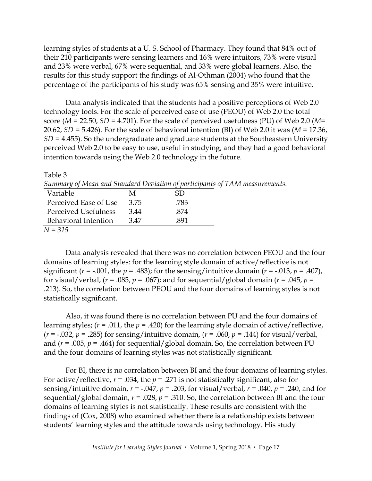learning styles of students at a U. S. School of Pharmacy. They found that 84% out of their 210 participants were sensing learners and 16% were intuitors, 73% were visual and 23% were verbal, 67% were sequential, and 33% were global learners. Also, the results for this study support the findings of Al-Othman (2004) who found that the percentage of the participants of his study was 65% sensing and 35% were intuitive.

Data analysis indicated that the students had a positive perceptions of Web 2.0 technology tools. For the scale of perceived ease of use (PEOU) of Web 2.0 the total score (*M* = 22.50, *SD* = 4.701). For the scale of perceived usefulness (PU) of Web 2.0 (*M*= 20.62, *SD* = 5.426). For the scale of behavioral intention (BI) of Web 2.0 it was (*M* = 17.36, *SD* = 4.455). So the undergraduate and graduate students at the Southeastern University perceived Web 2.0 to be easy to use, useful in studying, and they had a good behavioral intention towards using the Web 2.0 technology in the future.

Table 3 *Summary of Mean and Standard Deviation of participants of TAM measurements.* Variable M SD Perceived Ease of Use 3.75 .783 Perceived Usefulness 3.44 .874 Behavioral Intention 3.47 .891 *N = 315*

Data analysis revealed that there was no correlation between PEOU and the four domains of learning styles: for the learning style domain of active/reflective is not significant ( $r = -0.001$ , the  $p = 0.483$ ); for the sensing/intuitive domain ( $r = -0.013$ ,  $p = 0.407$ ), for visual/verbal, (*r* = .085, *p* = .067); and for sequential/global domain (*r* = .045, *p* = .213). So, the correlation between PEOU and the four domains of learning styles is not statistically significant.

Also, it was found there is no correlation between PU and the four domains of learning styles; ( $r = .011$ , the  $p = .420$ ) for the learning style domain of active/reflective, ( $r = -0.032$ ,  $p = .285$ ) for sensing/intuitive domain, ( $r = .060$ ,  $p = .144$ ) for visual/verbal, and  $(r = .005, p = .464)$  for sequential/global domain. So, the correlation between PU and the four domains of learning styles was not statistically significant.

For BI, there is no correlation between BI and the four domains of learning styles. For active/reflective,  $r = .034$ , the  $p = .271$  is not statistically significant, also for sensing/intuitive domain,  $r = -.047$ ,  $p = .203$ , for visual/verbal,  $r = .040$ ,  $p = .240$ , and for sequential/global domain,  $r = .028$ ,  $p = .310$ . So, the correlation between BI and the four domains of learning styles is not statistically. These results are consistent with the findings of (Cox, 2008) who examined whether there is a relationship exists between students' learning styles and the attitude towards using technology. His study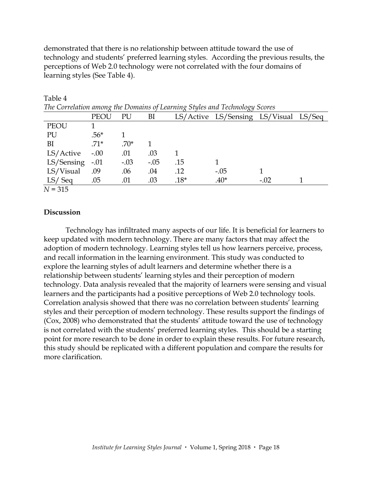demonstrated that there is no relationship between attitude toward the use of technology and students' preferred learning styles. According the previous results, the perceptions of Web 2.0 technology were not correlated with the four domains of learning styles (See Table 4).

| The Correlation among the Domains of Learning Styles and Technology Scores |        |        |        |        |                                       |        |  |
|----------------------------------------------------------------------------|--------|--------|--------|--------|---------------------------------------|--------|--|
|                                                                            | PEOU   | PU     | BI     |        | LS/Active LS/Sensing LS/Visual LS/Seq |        |  |
| PEOU                                                                       |        |        |        |        |                                       |        |  |
| PU                                                                         | $.56*$ |        |        |        |                                       |        |  |
| BI                                                                         | $.71*$ | $.70*$ |        |        |                                       |        |  |
| $LS/Active$ -.00                                                           |        | .01    | .03    |        |                                       |        |  |
| LS/Sensing                                                                 | $-.01$ | $-.03$ | $-.05$ | .15    |                                       |        |  |
| LS/Visual                                                                  | .09    | .06    | .04    | .12    | $-.05$                                |        |  |
| LS/Seq                                                                     | .05    | .01    | .03    | $.18*$ | $.40*$                                | $-.02$ |  |
| $N = 315$                                                                  |        |        |        |        |                                       |        |  |

Table 4<br>The Counslati *The Correlation among the Domains of Learning Styles and Technology Scores*

#### **Discussion**

Technology has infiltrated many aspects of our life. It is beneficial for learners to keep updated with modern technology. There are many factors that may affect the adoption of modern technology. Learning styles tell us how learners perceive, process, and recall information in the learning environment. This study was conducted to explore the learning styles of adult learners and determine whether there is a relationship between students' learning styles and their perception of modern technology. Data analysis revealed that the majority of learners were sensing and visual learners and the participants had a positive perceptions of Web 2.0 technology tools. Correlation analysis showed that there was no correlation between students' learning styles and their perception of modern technology. These results support the findings of (Cox, 2008) who demonstrated that the students' attitude toward the use of technology is not correlated with the students' preferred learning styles. This should be a starting point for more research to be done in order to explain these results. For future research, this study should be replicated with a different population and compare the results for more clarification.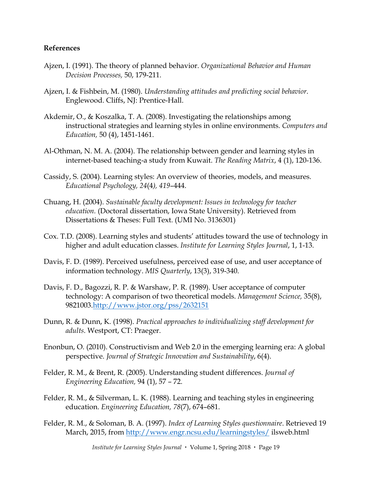#### **References**

- Ajzen, I. (1991). The theory of planned behavior. *Organizational Behavior and Human Decision Processes,* 50, 179-211.
- Ajzen, I. & Fishbein, M. (1980). *Understanding attitudes and predicting social behavior*. Englewood. Cliffs, NJ: Prentice-Hall.
- Akdemir, O., & Koszalka, T. A. (2008). Investigating the relationships among instructional strategies and learning styles in online environments. *Computers and Education,* 50 (4), 1451-1461.
- Al-Othman, N. M. A. (2004). The relationship between gender and learning styles in internet-based teaching-a study from Kuwait. *The Reading Matrix*, 4 (1), 120-136.
- Cassidy, S. (2004). Learning styles: An overview of theories, models, and measures. *Educational Psychology, 24*(4*), 419*–444.
- Chuang, H. (2004). *Sustainable faculty development: Issues in technology for teacher education.* (Doctoral dissertation, Iowa State University). Retrieved from Dissertations & Theses: Full Text. (UMI No. 3136301)
- Cox. T.D. (2008). Learning styles and students' attitudes toward the use of technology in higher and adult education classes. *Institute for Learning Styles Journal*, 1, 1-13.
- Davis, F. D. (1989). Perceived usefulness, perceived ease of use, and user acceptance of information technology. *MIS Quarterly*, 13(3), 319-340.
- Davis, F. D., Bagozzi, R. P. & Warshaw, P. R. (1989). User acceptance of computer technology: A comparison of two theoretical models. *Management Science,* 35(8), 9821003[.http://www.jstor.org/pss/2632151](http://www.jstor.org/pss/2632151)
- Dunn, R. & Dunn, K. (1998). *Practical approaches to individualizing staff development for adults*. Westport, CT: Praeger.
- Enonbun, O. (2010). Constructivism and Web 2.0 in the emerging learning era: A global perspective. *Journal of Strategic Innovation and Sustainability*, 6(4).
- Felder, R. M., & Brent, R. (2005). Understanding student differences. *Journal of Engineering Education,* 94 (1), 57 – 72.
- Felder, R. M., & Silverman, L. K. (1988). Learning and teaching styles in engineering education. *Engineering Education, 78*(7), 674–681.
- Felder, R. M., & Soloman, B. A. (1997). *Index of Learning Styles questionnaire*. Retrieved 19 March, 2015, from<http://www.engr.ncsu.edu/learningstyles/> ilsweb.html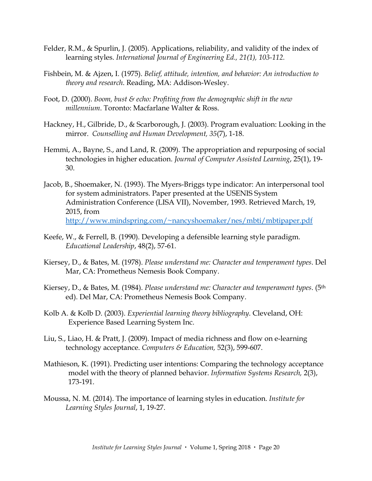- Felder, R.M., & Spurlin, J. (2005). Applications, reliability, and validity of the index of learning styles. *International Journal of Engineering Ed., 21(1), 103-112.*
- Fishbein, M. & Ajzen, I. (1975). *Belief, attitude, intention, and behavior: An introduction to theory and research*. Reading, MA: Addison-Wesley.
- Foot, D. (2000). *Boom, bust & echo: Profiting from the demographic shift in the new millennium*. Toronto: Macfarlane Walter & Ross.
- Hackney, H., Gilbride, D., & Scarborough, J. (2003). Program evaluation: Looking in the mirror. *Counselling and Human Development, 35*(7), 1-18.
- Hemmi, A., Bayne, S., and Land, R. (2009). The appropriation and repurposing of social technologies in higher education. *Journal of Computer Assisted Learning*, 25(1), 19- 30.
- Jacob, B., Shoemaker, N. (1993). The Myers-Briggs type indicator: An interpersonal tool for system administrators. Paper presented at the USENIS System Administration Conference (LISA VII), November, 1993. Retrieved March, 19, 2015, from [http://www.mindspring.com/~nancyshoemaker/nes/mbti/mbtipaper.pdf](http://www.mindspring.com/%7Enancyshoemaker/nes/mbti/mbtipaper.pdf)
- Keefe, W., & Ferrell, B. (1990). Developing a defensible learning style paradigm. *Educational Leadership*, 48(2), 57-61.
- Kiersey, D., & Bates, M. (1978). *Please understand me: Character and temperament types*. Del Mar, CA: Prometheus Nemesis Book Company.
- Kiersey, D., & Bates, M. (1984). *Please understand me: Character and temperament types*. (5th ed). Del Mar, CA: Prometheus Nemesis Book Company.
- Kolb A. & Kolb D. (2003). *Experiential learning theory bibliography*. Cleveland, OH: Experience Based Learning System Inc.
- Liu, S., Liao, H. & Pratt, J. (2009). Impact of media richness and flow on e-learning technology acceptance. *Computers & Education,* 52(3), 599-607.
- Mathieson, K. (1991). Predicting user intentions: Comparing the technology acceptance model with the theory of planned behavior. *Information Systems Research,* 2(3), 173-191.
- Moussa, N. M. (2014). The importance of learning styles in education. *Institute for Learning Styles Journal*, 1, 19-27.